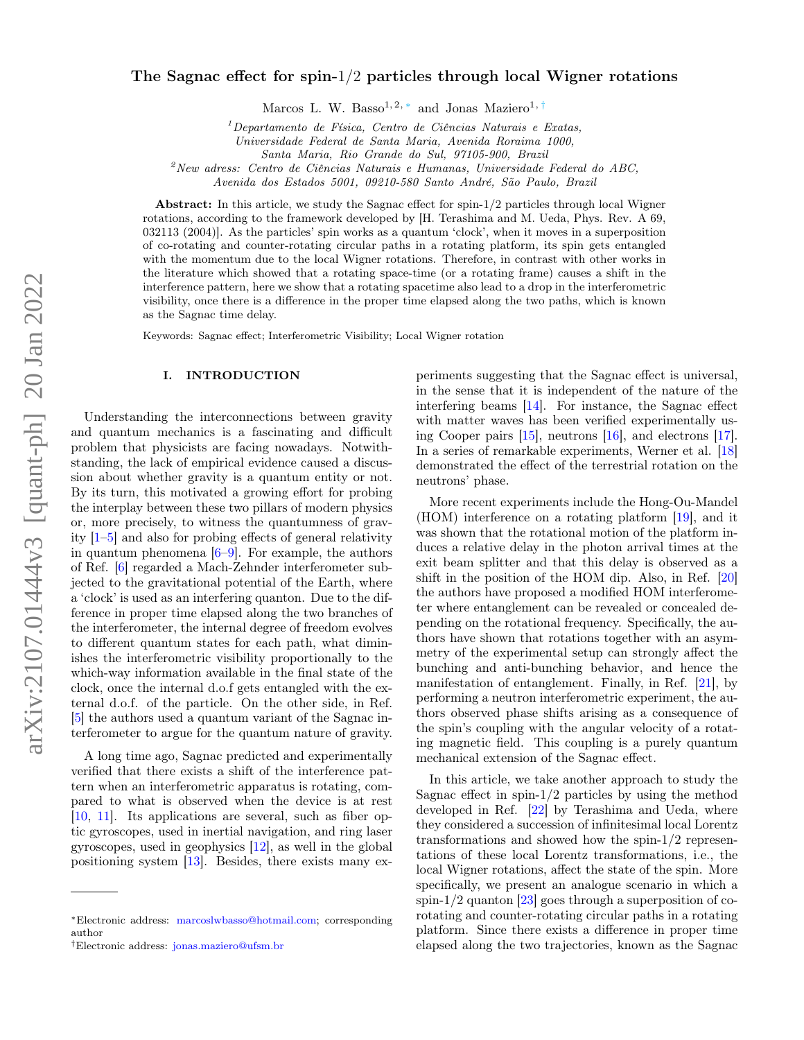# The Sagnac effect for spin- $1/2$  particles through local Wigner rotations

Marcos L. W. Basso<sup>1, 2, \*</sup> and Jonas Maziero<sup>1, [†](#page-0-1)</sup>

 $1$ Departamento de Física, Centro de Ciências Naturais e Exatas,

Universidade Federal de Santa Maria, Avenida Roraima 1000,

Santa Maria, Rio Grande do Sul, 97105-900, Brazil

 $^{2}$ New adress: Centro de Ciências Naturais e Humanas, Universidade Federal do ABC,

Avenida dos Estados 5001, 09210-580 Santo André, São Paulo, Brazil

Abstract: In this article, we study the Sagnac effect for spin-1/2 particles through local Wigner rotations, according to the framework developed by [H. Terashima and M. Ueda, Phys. Rev. A 69, 032113 (2004)]. As the particles' spin works as a quantum 'clock', when it moves in a superposition of co-rotating and counter-rotating circular paths in a rotating platform, its spin gets entangled with the momentum due to the local Wigner rotations. Therefore, in contrast with other works in the literature which showed that a rotating space-time (or a rotating frame) causes a shift in the interference pattern, here we show that a rotating spacetime also lead to a drop in the interferometric visibility, once there is a difference in the proper time elapsed along the two paths, which is known as the Sagnac time delay.

Keywords: Sagnac effect; Interferometric Visibility; Local Wigner rotation

### I. INTRODUCTION

Understanding the interconnections between gravity and quantum mechanics is a fascinating and difficult problem that physicists are facing nowadays. Notwithstanding, the lack of empirical evidence caused a discussion about whether gravity is a quantum entity or not. By its turn, this motivated a growing effort for probing the interplay between these two pillars of modern physics or, more precisely, to witness the quantumness of gravity [\[1–](#page-6-0)[5\]](#page-6-1) and also for probing effects of general relativity in quantum phenomena  $[6-9]$  $[6-9]$ . For example, the authors of Ref. [\[6\]](#page-6-2) regarded a Mach-Zehnder interferometer subjected to the gravitational potential of the Earth, where a 'clock' is used as an interfering quanton. Due to the difference in proper time elapsed along the two branches of the interferometer, the internal degree of freedom evolves to different quantum states for each path, what diminishes the interferometric visibility proportionally to the which-way information available in the final state of the clock, once the internal d.o.f gets entangled with the external d.o.f. of the particle. On the other side, in Ref. [\[5\]](#page-6-1) the authors used a quantum variant of the Sagnac interferometer to argue for the quantum nature of gravity.

A long time ago, Sagnac predicted and experimentally verified that there exists a shift of the interference pattern when an interferometric apparatus is rotating, compared to what is observed when the device is at rest [\[10,](#page-6-4) [11\]](#page-6-5). Its applications are several, such as fiber optic gyroscopes, used in inertial navigation, and ring laser gyroscopes, used in geophysics [\[12\]](#page-6-6), as well in the global positioning system [\[13\]](#page-7-0). Besides, there exists many ex-

periments suggesting that the Sagnac effect is universal, in the sense that it is independent of the nature of the interfering beams [\[14\]](#page-7-1). For instance, the Sagnac effect with matter waves has been verified experimentally using Cooper pairs [\[15\]](#page-7-2), neutrons [\[16\]](#page-7-3), and electrons [\[17\]](#page-7-4). In a series of remarkable experiments, Werner et al. [\[18\]](#page-7-5) demonstrated the effect of the terrestrial rotation on the neutrons' phase.

More recent experiments include the Hong-Ou-Mandel (HOM) interference on a rotating platform [\[19\]](#page-7-6), and it was shown that the rotational motion of the platform induces a relative delay in the photon arrival times at the exit beam splitter and that this delay is observed as a shift in the position of the HOM dip. Also, in Ref. [\[20\]](#page-7-7) the authors have proposed a modified HOM interferometer where entanglement can be revealed or concealed depending on the rotational frequency. Specifically, the authors have shown that rotations together with an asymmetry of the experimental setup can strongly affect the bunching and anti-bunching behavior, and hence the manifestation of entanglement. Finally, in Ref. [\[21\]](#page-7-8), by performing a neutron interferometric experiment, the authors observed phase shifts arising as a consequence of the spin's coupling with the angular velocity of a rotating magnetic field. This coupling is a purely quantum mechanical extension of the Sagnac effect.

In this article, we take another approach to study the Sagnac effect in spin- $1/2$  particles by using the method developed in Ref. [\[22\]](#page-7-9) by Terashima and Ueda, where they considered a succession of infinitesimal local Lorentz transformations and showed how the spin-1/2 representations of these local Lorentz transformations, i.e., the local Wigner rotations, affect the state of the spin. More specifically, we present an analogue scenario in which a spin- $1/2$  quanton [\[23\]](#page-7-10) goes through a superposition of corotating and counter-rotating circular paths in a rotating platform. Since there exists a difference in proper time elapsed along the two trajectories, known as the Sagnac

<span id="page-0-0"></span><sup>∗</sup>Electronic address: [marcoslwbasso@hotmail.com;](mailto:marcoslwbasso@hotmail.com) corresponding author

<span id="page-0-1"></span><sup>†</sup>Electronic address: [jonas.maziero@ufsm.br](mailto:jonas.maziero@ufsm.br)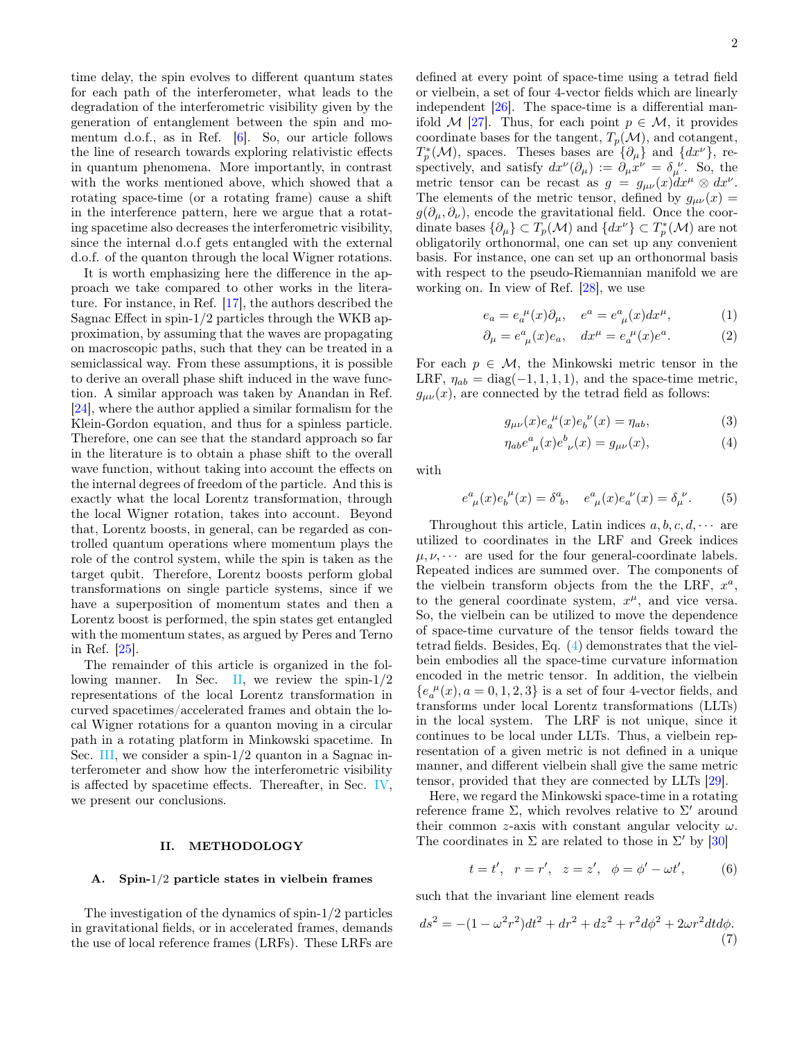time delay, the spin evolves to different quantum states for each path of the interferometer, what leads to the degradation of the interferometric visibility given by the generation of entanglement between the spin and momentum d.o.f., as in Ref. [\[6\]](#page-6-2). So, our article follows the line of research towards exploring relativistic effects in quantum phenomena. More importantly, in contrast with the works mentioned above, which showed that a rotating space-time (or a rotating frame) cause a shift in the interference pattern, here we argue that a rotating spacetime also decreases the interferometric visibility, since the internal d.o.f gets entangled with the external d.o.f. of the quanton through the local Wigner rotations.

It is worth emphasizing here the difference in the approach we take compared to other works in the literature. For instance, in Ref. [\[17\]](#page-7-4), the authors described the Sagnac Effect in spin-1/2 particles through the WKB approximation, by assuming that the waves are propagating on macroscopic paths, such that they can be treated in a semiclassical way. From these assumptions, it is possible to derive an overall phase shift induced in the wave function. A similar approach was taken by Anandan in Ref. [\[24\]](#page-7-11), where the author applied a similar formalism for the Klein-Gordon equation, and thus for a spinless particle. Therefore, one can see that the standard approach so far in the literature is to obtain a phase shift to the overall wave function, without taking into account the effects on the internal degrees of freedom of the particle. And this is exactly what the local Lorentz transformation, through the local Wigner rotation, takes into account. Beyond that, Lorentz boosts, in general, can be regarded as controlled quantum operations where momentum plays the role of the control system, while the spin is taken as the target qubit. Therefore, Lorentz boosts perform global transformations on single particle systems, since if we have a superposition of momentum states and then a Lorentz boost is performed, the spin states get entangled with the momentum states, as argued by Peres and Terno in Ref. [\[25\]](#page-7-12).

The remainder of this article is organized in the fol-lowing manner. In Sec. [II,](#page-1-0) we review the spin- $1/2$ representations of the local Lorentz transformation in curved spacetimes/accelerated frames and obtain the local Wigner rotations for a quanton moving in a circular path in a rotating platform in Minkowski spacetime. In Sec. [III,](#page-3-0) we consider a spin-1/2 quanton in a Sagnac interferometer and show how the interferometric visibility is affected by spacetime effects. Thereafter, in Sec. [IV,](#page-5-0) we present our conclusions.

### <span id="page-1-0"></span>II. METHODOLOGY

#### A. Spin-1/2 particle states in vielbein frames

The investigation of the dynamics of spin-1/2 particles in gravitational fields, or in accelerated frames, demands the use of local reference frames (LRFs). These LRFs are

defined at every point of space-time using a tetrad field or vielbein, a set of four 4-vector fields which are linearly independent [\[26\]](#page-7-13). The space-time is a differential man-ifold M [\[27\]](#page-7-14). Thus, for each point  $p \in \mathcal{M}$ , it provides coordinate bases for the tangent,  $T_p(\mathcal{M})$ , and cotangent,  $T_p^*(\mathcal{M})$ , spaces. Theses bases are  $\{\partial_\mu\}$  and  $\{dx^\nu\}$ , respectively, and satisfy  $dx^{\nu}(\partial_{\mu}) := \partial_{\mu}x^{\nu} = \delta_{\mu}^{\nu}$ . So, the metric tensor can be recast as  $g = g_{\mu\nu}(x)dx^{\mu} \otimes dx^{\nu}$ . The elements of the metric tensor, defined by  $g_{\mu\nu}(x) =$  $g(\partial_\mu, \partial_\nu)$ , encode the gravitational field. Once the coordinate bases  $\{\partial_{\mu}\}\subset T_p(\mathcal{M})$  and  $\{dx^{\nu}\}\subset T^*_p(\mathcal{M})$  are not obligatorily orthonormal, one can set up any convenient basis. For instance, one can set up an orthonormal basis with respect to the pseudo-Riemannian manifold we are working on. In view of Ref. [\[28\]](#page-7-15), we use

$$
e_a = e_a^{\ \mu}(x)\partial_\mu, \quad e^a = e^a_{\ \mu}(x)dx^\mu,\tag{1}
$$

$$
\partial_{\mu} = e^a_{\ \mu}(x)e_a, \quad dx^{\mu} = e_a^{\ \mu}(x)e^a. \tag{2}
$$

For each  $p \in \mathcal{M}$ , the Minkowski metric tensor in the LRF,  $\eta_{ab} = \text{diag}(-1, 1, 1, 1)$ , and the space-time metric,  $g_{\mu\nu}(x)$ , are connected by the tetrad field as follows:

$$
g_{\mu\nu}(x)e_a^{\ \mu}(x)e_b^{\ \nu}(x) = \eta_{ab},\tag{3}
$$

<span id="page-1-1"></span>
$$
\eta_{ab}e^a_{\ \mu}(x)e^b_{\ \nu}(x) = g_{\mu\nu}(x),\tag{4}
$$

with

$$
e^{a}_{\ \mu}(x)e^{ \ \mu}_{b}(x) = \delta^{a}_{\ b}, \quad e^{a}_{\ \mu}(x)e^{ \ \nu}_{a}(x) = \delta^{ \ \nu}_{\mu}.
$$
 (5)

Throughout this article, Latin indices  $a, b, c, d, \cdots$  are utilized to coordinates in the LRF and Greek indices  $\mu, \nu, \cdots$  are used for the four general-coordinate labels. Repeated indices are summed over. The components of the vielbein transform objects from the the LRF,  $x^a$ , to the general coordinate system,  $x^{\mu}$ , and vice versa. So, the vielbein can be utilized to move the dependence of space-time curvature of the tensor fields toward the tetrad fields. Besides, Eq. [\(4\)](#page-1-1) demonstrates that the vielbein embodies all the space-time curvature information encoded in the metric tensor. In addition, the vielbein  $\{e_{a}^{\ \mu}(x), a=0,1,2,3\}$  is a set of four 4-vector fields, and transforms under local Lorentz transformations (LLTs) in the local system. The LRF is not unique, since it continues to be local under LLTs. Thus, a vielbein representation of a given metric is not defined in a unique manner, and different vielbein shall give the same metric tensor, provided that they are connected by LLTs [\[29\]](#page-7-16).

Here, we regard the Minkowski space-time in a rotating reference frame  $\Sigma$ , which revolves relative to  $\Sigma'$  around their common z-axis with constant angular velocity  $\omega$ . The coordinates in  $\Sigma$  are related to those in  $\Sigma'$  by [\[30\]](#page-7-17)

<span id="page-1-2"></span>
$$
t = t'
$$
,  $r = r'$ ,  $z = z'$ ,  $\phi = \phi' - \omega t'$ , (6)

such that the invariant line element reads

$$
ds^{2} = -(1 - \omega^{2} r^{2})dt^{2} + dr^{2} + dz^{2} + r^{2} d\phi^{2} + 2\omega r^{2} dt d\phi.
$$
\n(7)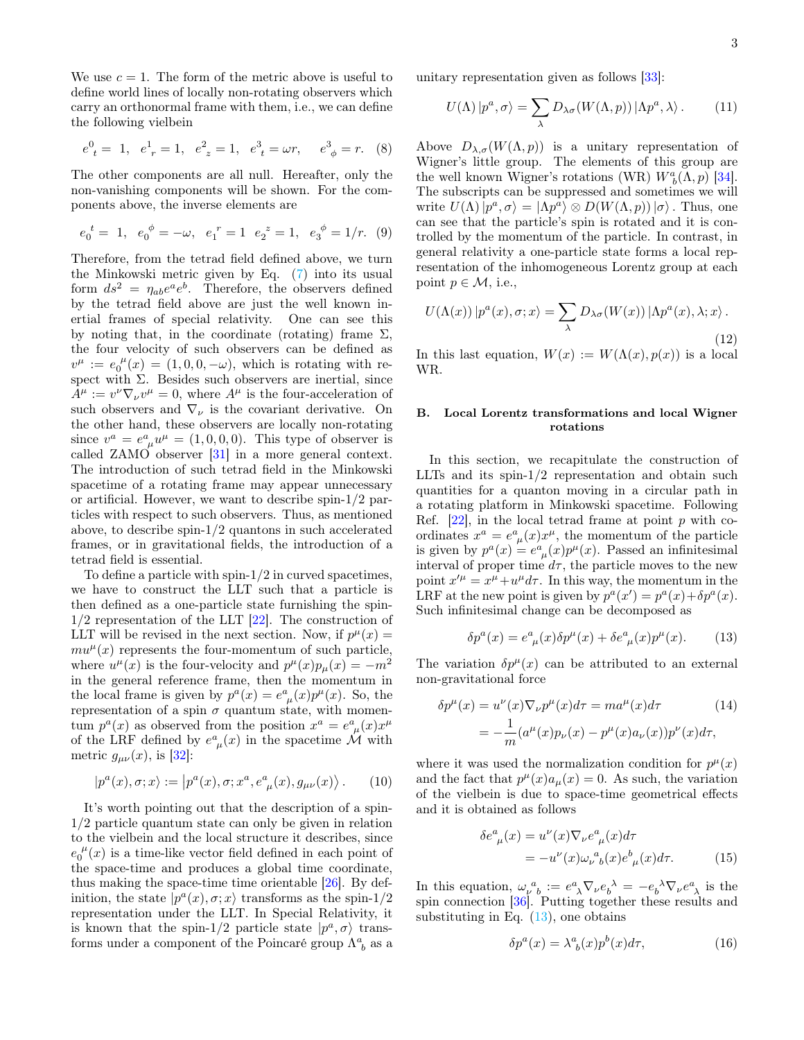We use  $c = 1$ . The form of the metric above is useful to define world lines of locally non-rotating observers which carry an orthonormal frame with them, i.e., we can define the following vielbein

$$
e_t^0 = 1
$$
,  $e_{r}^1 = 1$ ,  $e_z^2 = 1$ ,  $e_t^3 = \omega r$ ,  $e_{\phi}^3 = r$ . (8)

The other components are all null. Hereafter, only the non-vanishing components will be shown. For the components above, the inverse elements are

$$
e_0^t = 1
$$
,  $e_0^{\phi} = -\omega$ ,  $e_1^r = 1$   $e_2^z = 1$ ,  $e_3^{\phi} = 1/r$ . (9)

Therefore, from the tetrad field defined above, we turn the Minkowski metric given by Eq. [\(7\)](#page-1-2) into its usual form  $ds^2 = \eta_{ab}e^a e^b$ . Therefore, the observers defined by the tetrad field above are just the well known inertial frames of special relativity. One can see this by noting that, in the coordinate (rotating) frame  $\Sigma$ , the four velocity of such observers can be defined as  $v^{\mu} := e_0^{\mu}(x) = (1, 0, 0, -\omega)$ , which is rotating with respect with  $\Sigma$ . Besides such observers are inertial, since  $A^{\mu} := v^{\nu} \nabla_{\nu} v^{\mu} = 0$ , where  $A^{\mu}$  is the four-acceleration of such observers and  $\nabla_{\nu}$  is the covariant derivative. On the other hand, these observers are locally non-rotating since  $v^a = e^a_{\mu} u^{\mu} = (1, 0, 0, 0)$ . This type of observer is called ZAMO observer [\[31\]](#page-7-18) in a more general context. The introduction of such tetrad field in the Minkowski spacetime of a rotating frame may appear unnecessary or artificial. However, we want to describe spin-1/2 particles with respect to such observers. Thus, as mentioned above, to describe spin-1/2 quantons in such accelerated frames, or in gravitational fields, the introduction of a tetrad field is essential.

To define a particle with spin-1/2 in curved spacetimes, we have to construct the LLT such that a particle is then defined as a one-particle state furnishing the spin- $1/2$  representation of the LLT  $[22]$ . The construction of LLT will be revised in the next section. Now, if  $p^{\mu}(x) =$  $mu^{\mu}(x)$  represents the four-momentum of such particle, where  $u^{\mu}(x)$  is the four-velocity and  $p^{\mu}(x)p_{\mu}(x) = -m^2$ in the general reference frame, then the momentum in the local frame is given by  $p^{a}(x) = e^{a}_{\mu}(x)p^{\mu}(x)$ . So, the representation of a spin  $\sigma$  quantum state, with momentum  $p^{a}(x)$  as observed from the position  $x^{a} = e^{a}_{\mu}(x)x^{\mu}$ of the LRF defined by  $e^a_{\mu}(x)$  in the spacetime  $\mathcal M$  with metric  $g_{\mu\nu}(x)$ , is [\[32\]](#page-7-19):

$$
|p^{a}(x), \sigma; x\rangle := |p^{a}(x), \sigma; x^{a}, e^{a}_{\mu}(x), g_{\mu\nu}(x)\rangle. \tag{10}
$$

It's worth pointing out that the description of a spin-1/2 particle quantum state can only be given in relation to the vielbein and the local structure it describes, since  $e_0^{\ \mu}(x)$  is a time-like vector field defined in each point of the space-time and produces a global time coordinate, thus making the space-time time orientable [\[26\]](#page-7-13). By definition, the state  $|p^a(x), \sigma; x\rangle$  transforms as the spin-1/2 representation under the LLT. In Special Relativity, it is known that the spin-1/2 particle state  $|p^a, \sigma\rangle$  transforms under a component of the Poincaré group  $\Lambda^a_{\ b}$  as a unitary representation given as follows [\[33\]](#page-7-20):

$$
U(\Lambda) | p^a, \sigma \rangle = \sum_{\lambda} D_{\lambda \sigma} (W(\Lambda, p)) | \Lambda p^a, \lambda \rangle. \tag{11}
$$

Above  $D_{\lambda,\sigma}(W(\Lambda,p))$  is a unitary representation of Wigner's little group. The elements of this group are the well known Wigner's rotations (WR)  $W_b^a(\Lambda, p)$  [\[34\]](#page-7-21). The subscripts can be suppressed and sometimes we will write  $U(\Lambda) |p^a, \sigma\rangle = |\Lambda p^a\rangle \otimes D(W(\Lambda, p)) | \sigma\rangle$ . Thus, one can see that the particle's spin is rotated and it is controlled by the momentum of the particle. In contrast, in general relativity a one-particle state forms a local representation of the inhomogeneous Lorentz group at each point  $p \in \mathcal{M}$ , i.e.,

<span id="page-2-2"></span>
$$
U(\Lambda(x)) |p^{a}(x), \sigma; x\rangle = \sum_{\lambda} D_{\lambda\sigma}(W(x)) | \Lambda p^{a}(x), \lambda; x\rangle.
$$
\n(12)

In this last equation,  $W(x) := W(\Lambda(x), p(x))$  is a local WR.

# B. Local Lorentz transformations and local Wigner rotations

In this section, we recapitulate the construction of LLTs and its spin-1/2 representation and obtain such quantities for a quanton moving in a circular path in a rotating platform in Minkowski spacetime. Following Ref.  $[22]$ , in the local tetrad frame at point p with coordinates  $x^a = e^a_{\mu}(x)x^{\mu}$ , the momentum of the particle is given by  $p^a(x) = e^a_{\mu}(x)p^{\mu}(x)$ . Passed an infinitesimal interval of proper time  $d\tau$ , the particle moves to the new point  $x'^{\mu} = x^{\mu} + u^{\mu} d\tau$ . In this way, the momentum in the LRF at the new point is given by  $p^a(x') = p^a(x) + \delta p^a(x)$ . Such infinitesimal change can be decomposed as

<span id="page-2-0"></span>
$$
\delta p^{a}(x) = e^{a}_{\ \mu}(x)\delta p^{\mu}(x) + \delta e^{a}_{\ \mu}(x)p^{\mu}(x). \tag{13}
$$

The variation  $\delta p^{\mu}(x)$  can be attributed to an external non-gravitational force

$$
\delta p^{\mu}(x) = u^{\nu}(x)\nabla_{\nu}p^{\mu}(x)d\tau = ma^{\mu}(x)d\tau
$$
\n
$$
= -\frac{1}{m}(a^{\mu}(x)p_{\nu}(x) - p^{\mu}(x)a_{\nu}(x))p^{\nu}(x)d\tau,
$$
\n(14)

where it was used the normalization condition for  $p^{\mu}(x)$ and the fact that  $p^{\mu}(x)a_{\mu}(x) = 0$ . As such, the variation of the vielbein is due to space-time geometrical effects and it is obtained as follows

$$
\delta e_{\mu}^{a}(x) = u^{\nu}(x)\nabla_{\nu}e_{\mu}^{a}(x)d\tau
$$

$$
= -u^{\nu}(x)\omega_{\nu}^{a}{}_{b}(x)e_{\mu}^{b}(x)d\tau.
$$
 (15)

In this equation,  $\omega_{\nu}^{\ a}{}_{b} := e^{a}_{\ \lambda} \nabla_{\nu} e_{b}^{\ \lambda} = -e_{b}^{\ \lambda} \nabla_{\nu} e^{a}_{\ \lambda}$  is the spin connection [\[36\]](#page-7-22). Putting together these results and substituting in Eq.  $(13)$ , one obtains

<span id="page-2-1"></span>
$$
\delta p^a(x) = \lambda^a_{\ b}(x) p^b(x) d\tau,\tag{16}
$$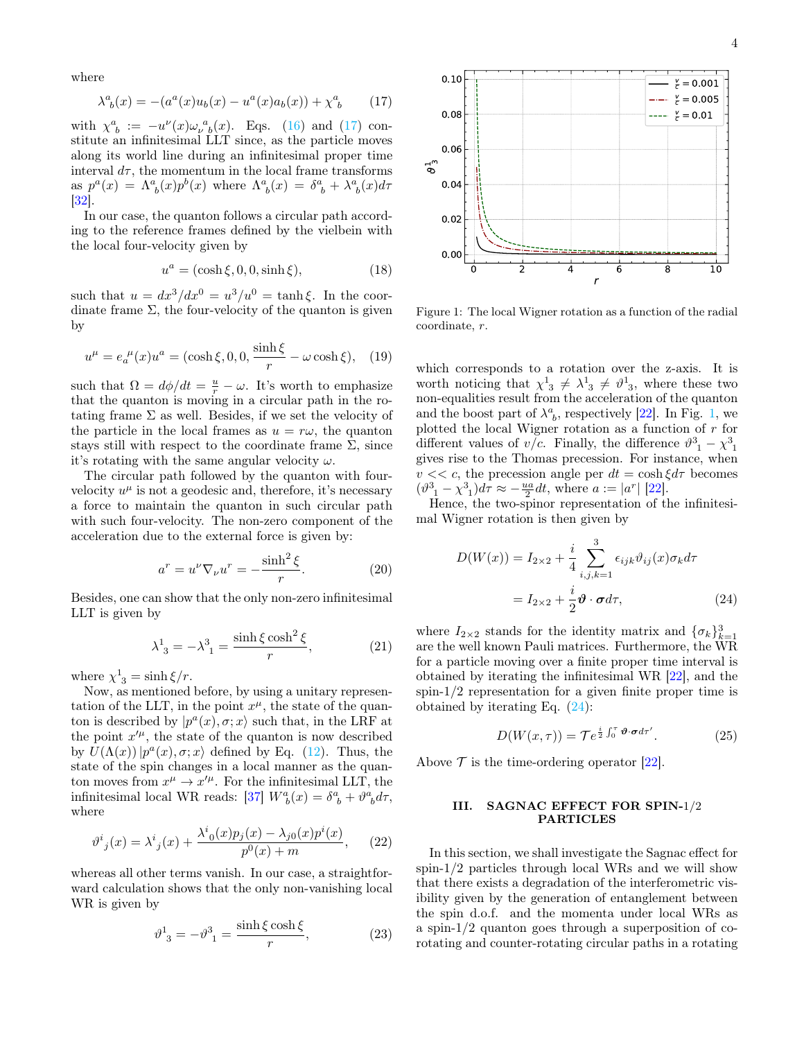where

$$
\lambda^{a}_{\ b}(x) = -(a^{a}(x)u_{b}(x) - u^{a}(x)a_{b}(x)) + \chi^{a}_{\ b} \qquad (17)
$$

with  $\chi^a_{\ b} := -u^{\nu}(x)\omega^{\ a}_{\nu \ b}(x)$ . Eqs. [\(16\)](#page-2-1) and [\(17\)](#page-3-1) constitute an infinitesimal LLT since, as the particle moves along its world line during an infinitesimal proper time interval  $d\tau$ , the momentum in the local frame transforms as  $p^a(x) = \Lambda^a_{\ b}(x) p^b(x)$  where  $\Lambda^a_{\ b}(x) = \delta^a_{\ b} + \lambda^a_{\ b}(x) d\tau$ [\[32\]](#page-7-19).

In our case, the quanton follows a circular path according to the reference frames defined by the vielbein with the local four-velocity given by

$$
u^a = (\cosh \xi, 0, 0, \sinh \xi), \tag{18}
$$

such that  $u = dx^3/dx^0 = u^3/u^0 = \tanh \xi$ . In the coordinate frame  $\Sigma$ , the four-velocity of the quanton is given by

$$
u^{\mu} = e_a^{\ \mu}(x)u^a = (\cosh \xi, 0, 0, \frac{\sinh \xi}{r} - \omega \cosh \xi), \quad (19)
$$

such that  $\Omega = d\phi/dt = \frac{u}{r} - \omega$ . It's worth to emphasize that the quanton is moving in a circular path in the rotating frame  $\Sigma$  as well. Besides, if we set the velocity of the particle in the local frames as  $u = r\omega$ , the quanton stays still with respect to the coordinate frame  $\Sigma$ , since it's rotating with the same angular velocity  $\omega$ .

The circular path followed by the quanton with fourvelocity  $u^{\mu}$  is not a geodesic and, therefore, it's necessary a force to maintain the quanton in such circular path with such four-velocity. The non-zero component of the acceleration due to the external force is given by:

$$
a^r = u^\nu \nabla_\nu u^r = -\frac{\sinh^2 \xi}{r}.
$$
 (20)

Besides, one can show that the only non-zero infinitesimal LLT is given by

$$
\lambda^1_{3} = -\lambda^3_{1} = \frac{\sinh\xi \cosh^2 \xi}{r},\tag{21}
$$

where  $\chi^1_{3} = \sinh \xi / r$ .

Now, as mentioned before, by using a unitary representation of the LLT, in the point  $x^{\mu}$ , the state of the quanton is described by  $|p^a(x), \sigma; x\rangle$  such that, in the LRF at the point  $x^{\prime \mu}$ , the state of the quanton is now described by  $U(\Lambda(x)) | p^{a}(x), \sigma; x \rangle$  defined by Eq. [\(12\)](#page-2-2). Thus, the state of the spin changes in a local manner as the quanton moves from  $x^{\mu} \to x'^{\mu}$ . For the infinitesimal LLT, the infinitesimal local WR reads: [\[37\]](#page-7-23)  $W_b^a(x) = \delta^a_{\ b} + \vartheta^a_{\ b} d\tau$ , where

$$
v^{i}_{j}(x) = \lambda^{i}_{j}(x) + \frac{\lambda^{i}_{0}(x)p_{j}(x) - \lambda_{j0}(x)p^{i}(x)}{p^{0}(x) + m},
$$
 (22)

whereas all other terms vanish. In our case, a straightforward calculation shows that the only non-vanishing local WR is given by

$$
\vartheta^1_{3} = -\vartheta^3_{1} = \frac{\sinh\xi\cosh\xi}{r},\tag{23}
$$



4

<span id="page-3-1"></span>

<span id="page-3-2"></span>Figure 1: The local Wigner rotation as a function of the radial coordinate, r.

which corresponds to a rotation over the z-axis. It is worth noticing that  $\chi^1_{3} \neq \lambda^1_{3} \neq \vartheta^1_{3}$ , where these two non-equalities result from the acceleration of the quanton and the boost part of  $\lambda^a_{\ b}$ , respectively [\[22\]](#page-7-9). In Fig. [1,](#page-3-2) we plotted the local Wigner rotation as a function of r for different values of  $v/c$ . Finally, the difference  $\vartheta^3_{-1} - \chi^3_{-1}$ gives rise to the Thomas precession. For instance, when  $v \ll c$ , the precession angle per  $dt = \cosh \xi d\tau$  becomes  $(\vartheta_{\_1}^3 - \chi_{\_1}^3)d\tau \approx -\frac{ua}{2}dt$ , where  $a := |a^r|$  [\[22\]](#page-7-9).

Hence, the two-spinor representation of the infinitesimal Wigner rotation is then given by

$$
D(W(x)) = I_{2\times 2} + \frac{i}{4} \sum_{i,j,k=1}^{3} \epsilon_{ijk} \vartheta_{ij}(x) \sigma_k d\tau
$$

$$
= I_{2\times 2} + \frac{i}{2} \boldsymbol{\vartheta} \cdot \boldsymbol{\sigma} d\tau,
$$
(24)

where  $I_{2\times 2}$  stands for the identity matrix and  $\{\sigma_k\}_{k=1}^3$ are the well known Pauli matrices. Furthermore, the WR for a particle moving over a finite proper time interval is obtained by iterating the infinitesimal WR [\[22\]](#page-7-9), and the spin-1/2 representation for a given finite proper time is obtained by iterating Eq. [\(24\)](#page-3-3):

<span id="page-3-3"></span>
$$
D(W(x,\tau)) = \mathcal{T}e^{\frac{i}{2}\int_0^{\tau} \boldsymbol{\vartheta} \cdot \boldsymbol{\sigma} d\tau'}.
$$
 (25)

Above  $\mathcal T$  is the time-ordering operator [\[22\]](#page-7-9).

## <span id="page-3-0"></span>III. SAGNAC EFFECT FOR SPIN-1/2 PARTICLES

In this section, we shall investigate the Sagnac effect for spin-1/2 particles through local WRs and we will show that there exists a degradation of the interferometric visibility given by the generation of entanglement between the spin d.o.f. and the momenta under local WRs as a spin-1/2 quanton goes through a superposition of corotating and counter-rotating circular paths in a rotating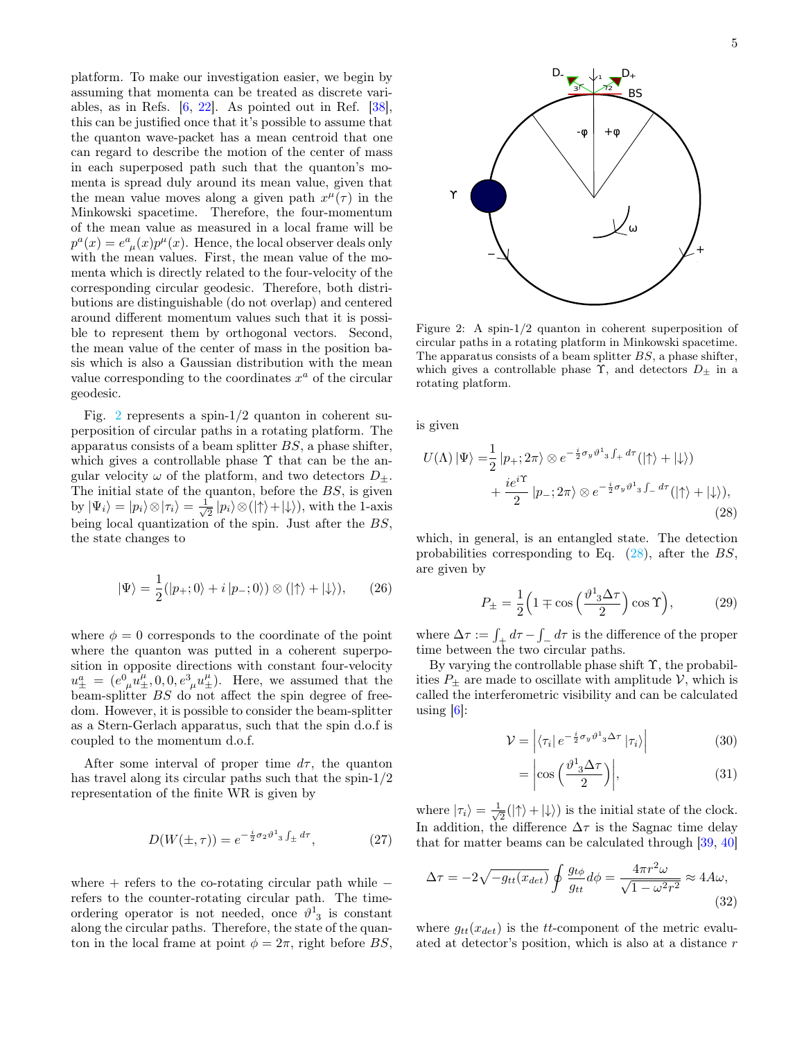platform. To make our investigation easier, we begin by assuming that momenta can be treated as discrete variables, as in Refs. [\[6,](#page-6-2) [22\]](#page-7-9). As pointed out in Ref. [\[38\]](#page-7-24), this can be justified once that it's possible to assume that the quanton wave-packet has a mean centroid that one can regard to describe the motion of the center of mass in each superposed path such that the quanton's momenta is spread duly around its mean value, given that the mean value moves along a given path  $x^{\mu}(\tau)$  in the Minkowski spacetime. Therefore, the four-momentum of the mean value as measured in a local frame will be  $p^{a}(x) = e^{a}_{\mu}(x)p^{\mu}(x)$ . Hence, the local observer deals only with the mean values. First, the mean value of the momenta which is directly related to the four-velocity of the corresponding circular geodesic. Therefore, both distributions are distinguishable (do not overlap) and centered around different momentum values such that it is possible to represent them by orthogonal vectors. Second, the mean value of the center of mass in the position basis which is also a Gaussian distribution with the mean value corresponding to the coordinates  $x^a$  of the circular geodesic.

Fig. [2](#page-4-0) represents a spin-1/2 quanton in coherent superposition of circular paths in a rotating platform. The apparatus consists of a beam splitter  $BS$ , a phase shifter, which gives a controllable phase  $\Upsilon$  that can be the angular velocity  $\omega$  of the platform, and two detectors  $D_{\pm}$ . The initial state of the quanton, before the  $BS$ , is given by  $|\Psi_i\rangle = |p_i\rangle \otimes |\tau_i\rangle = \frac{1}{\sqrt{2}}$  $\frac{1}{2} |p_i\rangle \otimes (|\!\!\uparrow\rangle + |\!\!\downarrow\rangle), \text{ with the 1-axis}$ being local quantization of the spin. Just after the BS, the state changes to

$$
|\Psi\rangle = \frac{1}{2} (|p_+; 0\rangle + i |p_-; 0\rangle) \otimes (|\uparrow\rangle + |\downarrow\rangle), \qquad (26)
$$

where  $\phi = 0$  corresponds to the coordinate of the point where the quanton was putted in a coherent superposition in opposite directions with constant four-velocity  $u_{\pm}^{a} = (e_{\mu}^{0} u_{\pm}^{\mu}, 0, 0, e_{\mu}^{3} u_{\pm}^{\mu}).$  Here, we assumed that the beam-splitter BS do not affect the spin degree of freedom. However, it is possible to consider the beam-splitter as a Stern-Gerlach apparatus, such that the spin d.o.f is coupled to the momentum d.o.f.

After some interval of proper time  $d\tau$ , the quanton has travel along its circular paths such that the spin-1/2 representation of the finite WR is given by

$$
D(W(\pm, \tau)) = e^{-\frac{i}{2}\sigma_2\vartheta^1{}_3 \int_{\pm} d\tau}, \qquad (27)
$$

where  $+$  refers to the co-rotating circular path while  $$ refers to the counter-rotating circular path. The timeordering operator is not needed, once  $\vartheta^1_{3}$  is constant along the circular paths. Therefore, the state of the quanton in the local frame at point  $\phi = 2\pi$ , right before BS,



<span id="page-4-0"></span>Figure 2: A spin-1/2 quanton in coherent superposition of circular paths in a rotating platform in Minkowski spacetime. The apparatus consists of a beam splitter  $BS$ , a phase shifter, which gives a controllable phase  $\Upsilon$ , and detectors  $D_{\pm}$  in a rotating platform.

is given

$$
U(\Lambda) \left| \Psi \right\rangle = \frac{1}{2} \left| p_+; 2\pi \right\rangle \otimes e^{-\frac{i}{2}\sigma_y \vartheta^1_3 \int_+ d\tau} \left( \left| \uparrow \right\rangle + \left| \downarrow \right\rangle \right) + \frac{ie^{i\Upsilon}}{2} \left| p_-; 2\pi \right\rangle \otimes e^{-\frac{i}{2}\sigma_y \vartheta^1_3 \int_- d\tau} \left( \left| \uparrow \right\rangle + \left| \downarrow \right\rangle \right),
$$
\n(28)

which, in general, is an entangled state. The detection probabilities corresponding to Eq.  $(28)$ , after the BS, are given by

<span id="page-4-1"></span>
$$
P_{\pm} = \frac{1}{2} \left( 1 \mp \cos\left(\frac{\vartheta^1 \cdot 3\Delta \tau}{2}\right) \cos \Upsilon \right),\tag{29}
$$

where  $\Delta \tau := \int_{\pm} d\tau - \int_{-} d\tau$  is the difference of the proper time between the two circular paths.

By varying the controllable phase shift Υ, the probabilities  $P_{\pm}$  are made to oscillate with amplitude V, which is called the interferometric visibility and can be calculated using  $[6]$ :

$$
\mathcal{V} = \left| \langle \tau_i | e^{-\frac{i}{2}\sigma_y \vartheta^1 \cdot 3 \Delta \tau} | \tau_i \rangle \right| \tag{30}
$$

<span id="page-4-2"></span>
$$
= \left| \cos \left( \frac{\vartheta^1 \cdot 3 \Delta \tau}{2} \right) \right|, \tag{31}
$$

where  $|\tau_i\rangle = \frac{1}{\sqrt{2}}$  $\frac{1}{2}(|\uparrow\rangle + |\downarrow\rangle)$  is the initial state of the clock. In addition, the difference  $\Delta \tau$  is the Sagnac time delay that for matter beams can be calculated through [\[39,](#page-7-25) [40\]](#page-7-26)

$$
\Delta \tau = -2\sqrt{-g_{tt}(x_{det})} \oint \frac{g_{t\phi}}{g_{tt}} d\phi = \frac{4\pi r^2 \omega}{\sqrt{1 - \omega^2 r^2}} \approx 4A\omega,
$$
\n(32)

where  $g_{tt}(x_{det})$  is the tt-component of the metric evaluated at detector's position, which is also at a distance r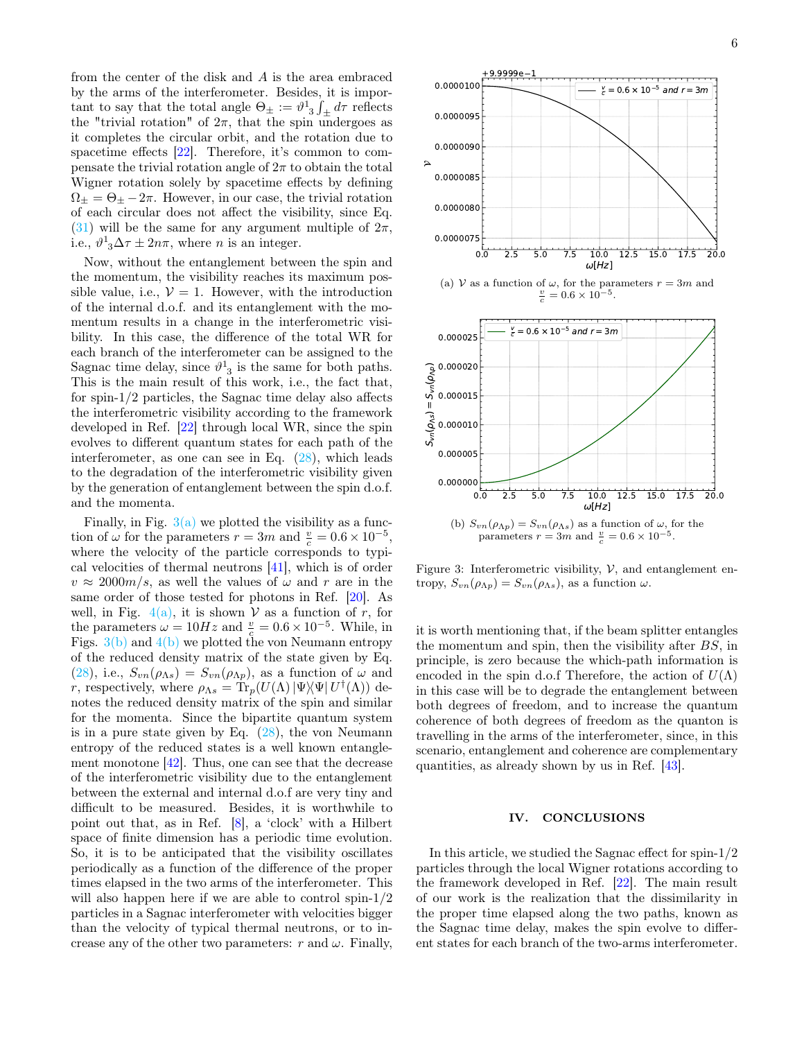from the center of the disk and  $A$  is the area embraced by the arms of the interferometer. Besides, it is important to say that the total angle  $\Theta_{\pm} := \vartheta^{1}_{3} \int_{\pm} d\tau$  reflects the "trivial rotation" of  $2\pi$ , that the spin undergoes as it completes the circular orbit, and the rotation due to spacetime effects [\[22\]](#page-7-9). Therefore, it's common to compensate the trivial rotation angle of  $2\pi$  to obtain the total Wigner rotation solely by spacetime effects by defining  $\Omega_{\pm} = \Theta_{\pm} - 2\pi$ . However, in our case, the trivial rotation of each circular does not affect the visibility, since Eq. [\(31\)](#page-4-2) will be the same for any argument multiple of  $2\pi$ , i.e.,  $\vartheta^1_{3}\Delta \tau \pm 2n\pi$ , where *n* is an integer.

Now, without the entanglement between the spin and the momentum, the visibility reaches its maximum possible value, i.e.,  $V = 1$ . However, with the introduction of the internal d.o.f. and its entanglement with the momentum results in a change in the interferometric visibility. In this case, the difference of the total WR for each branch of the interferometer can be assigned to the Sagnac time delay, since  $\vartheta^1_{3}$  is the same for both paths. This is the main result of this work, i.e., the fact that, for spin-1/2 particles, the Sagnac time delay also affects the interferometric visibility according to the framework developed in Ref. [\[22\]](#page-7-9) through local WR, since the spin evolves to different quantum states for each path of the interferometer, as one can see in Eq.  $(28)$ , which leads to the degradation of the interferometric visibility given by the generation of entanglement between the spin d.o.f. and the momenta.

Finally, in Fig.  $3(a)$  we plotted the visibility as a function of  $\omega$  for the parameters  $r = 3m$  and  $\frac{v}{c} = 0.6 \times 10^{-5}$ , where the velocity of the particle corresponds to typical velocities of thermal neutrons [\[41\]](#page-7-27), which is of order  $v \approx 2000m/s$ , as well the values of  $\omega$  and r are in the same order of those tested for photons in Ref. [\[20\]](#page-7-7). As well, in Fig. [4\(a\),](#page-6-7) it is shown V as a function of r, for the parameters  $\omega = 10Hz$  and  $\frac{v}{c} = 0.6 \times 10^{-5}$ . While, in Figs.  $3(b)$  and  $4(b)$  we plotted the von Neumann entropy of the reduced density matrix of the state given by Eq. [\(28\)](#page-4-1), i.e.,  $S_{vn}(\rho_{\Lambda s}) = S_{vn}(\rho_{\Lambda p})$ , as a function of  $\omega$  and r, respectively, where  $\rho_{\Lambda s} = \text{Tr}_p(U(\Lambda) | \Psi \rangle \! \langle \Psi | U^{\dagger}(\Lambda))$  denotes the reduced density matrix of the spin and similar for the momenta. Since the bipartite quantum system is in a pure state given by Eq.  $(28)$ , the von Neumann entropy of the reduced states is a well known entanglement monotone  $[42]$ . Thus, one can see that the decrease of the interferometric visibility due to the entanglement between the external and internal d.o.f are very tiny and difficult to be measured. Besides, it is worthwhile to point out that, as in Ref. [\[8\]](#page-6-9), a 'clock' with a Hilbert space of finite dimension has a periodic time evolution. So, it is to be anticipated that the visibility oscillates periodically as a function of the difference of the proper times elapsed in the two arms of the interferometer. This will also happen here if we are able to control spin-1/2 particles in a Sagnac interferometer with velocities bigger than the velocity of typical thermal neutrons, or to increase any of the other two parameters: r and  $\omega$ . Finally,

<span id="page-5-1"></span>

<span id="page-5-2"></span>Figure 3: Interferometric visibility,  $V$ , and entanglement entropy,  $S_{vn}(\rho_{\Lambda p}) = S_{vn}(\rho_{\Lambda s})$ , as a function  $\omega$ .

it is worth mentioning that, if the beam splitter entangles the momentum and spin, then the visibility after BS, in principle, is zero because the which-path information is encoded in the spin d.o.f Therefore, the action of  $U(\Lambda)$ in this case will be to degrade the entanglement between both degrees of freedom, and to increase the quantum coherence of both degrees of freedom as the quanton is travelling in the arms of the interferometer, since, in this scenario, entanglement and coherence are complementary quantities, as already shown by us in Ref. [\[43\]](#page-7-29).

#### <span id="page-5-0"></span>IV. CONCLUSIONS

In this article, we studied the Sagnac effect for spin-1/2 particles through the local Wigner rotations according to the framework developed in Ref. [\[22\]](#page-7-9). The main result of our work is the realization that the dissimilarity in the proper time elapsed along the two paths, known as the Sagnac time delay, makes the spin evolve to different states for each branch of the two-arms interferometer.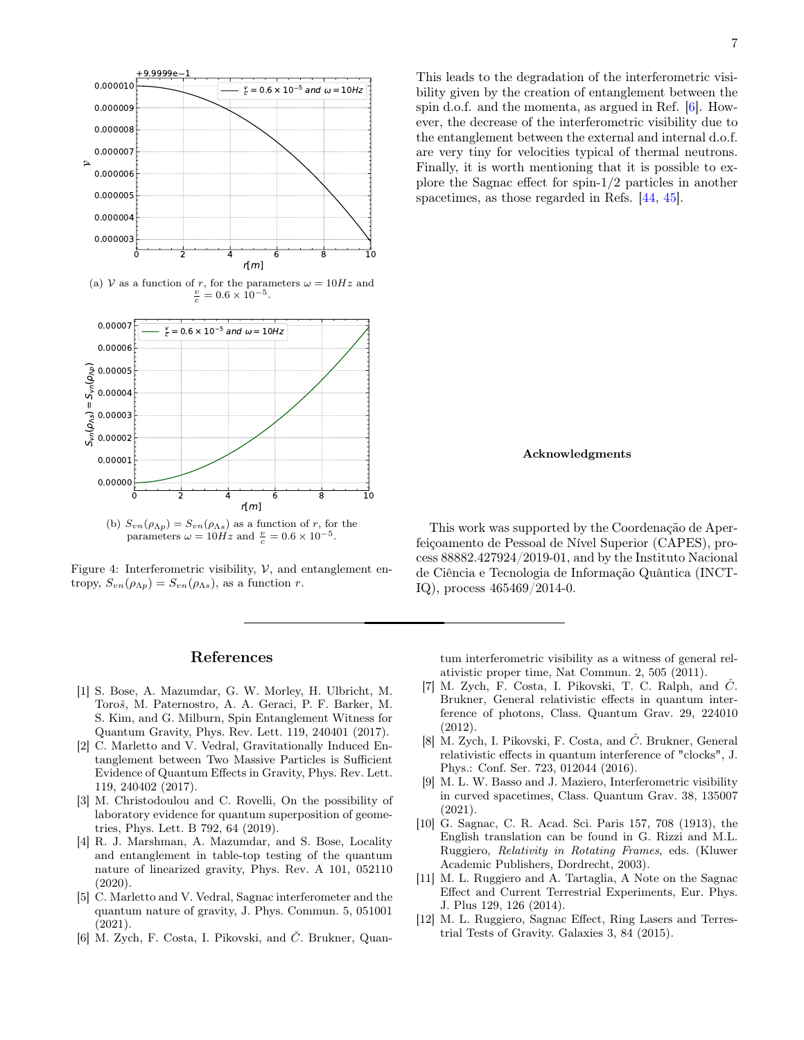<span id="page-6-7"></span>

(a) V as a function of r, for the parameters  $\omega = 10Hz$  and  $\frac{v}{c} = 0.6 \times 10^{-5}$ .



<span id="page-6-8"></span>Figure 4: Interferometric visibility,  $V$ , and entanglement entropy,  $S_{vn}(\rho_{\Lambda p}) = S_{vn}(\rho_{\Lambda s})$ , as a function r.

# References

- <span id="page-6-0"></span>[1] S. Bose, A. Mazumdar, G. W. Morley, H. Ulbricht, M. Toroš, M. Paternostro, A. A. Geraci, P. F. Barker, M. S. Kim, and G. Milburn, Spin Entanglement Witness for Quantum Gravity, Phys. Rev. Lett. 119, 240401 (2017).
- [2] C. Marletto and V. Vedral, Gravitationally Induced Entanglement between Two Massive Particles is Sufficient Evidence of Quantum Effects in Gravity, Phys. Rev. Lett. 119, 240402 (2017).
- [3] M. Christodoulou and C. Rovelli, On the possibility of laboratory evidence for quantum superposition of geometries, Phys. Lett. B 792, 64 (2019).
- [4] R. J. Marshman, A. Mazumdar, and S. Bose, Locality and entanglement in table-top testing of the quantum nature of linearized gravity, Phys. Rev. A 101, 052110 (2020).
- <span id="page-6-1"></span>[5] C. Marletto and V. Vedral, Sagnac interferometer and the quantum nature of gravity, J. Phys. Commun. 5, 051001 (2021).
- <span id="page-6-2"></span>[6] M. Zych, F. Costa, I. Pikovski, and  $\check{C}$ . Brukner, Quan-

This leads to the degradation of the interferometric visibility given by the creation of entanglement between the spin d.o.f. and the momenta, as argued in Ref. [\[6\]](#page-6-2). However, the decrease of the interferometric visibility due to the entanglement between the external and internal d.o.f. are very tiny for velocities typical of thermal neutrons. Finally, it is worth mentioning that it is possible to explore the Sagnac effect for spin-1/2 particles in another spacetimes, as those regarded in Refs. [\[44,](#page-7-30) [45\]](#page-7-31).

### Acknowledgments

This work was supported by the Coordenação de Aperfeiçoamento de Pessoal de Nível Superior (CAPES), process 88882.427924/2019-01, and by the Instituto Nacional de Ciência e Tecnologia de Informação Quântica (INCT-IQ), process 465469/2014-0.

tum interferometric visibility as a witness of general relativistic proper time, Nat Commun. 2, 505 (2011).

- [7] M. Zych, F. Costa, I. Pikovski, T. C. Ralph, and Č. Brukner, General relativistic effects in quantum interference of photons, Class. Quantum Grav. 29, 224010 (2012).
- <span id="page-6-9"></span>[8] M. Zych, I. Pikovski, F. Costa, and  $\check{C}$ . Brukner, General relativistic effects in quantum interference of "clocks", J. Phys.: Conf. Ser. 723, 012044 (2016).
- <span id="page-6-3"></span>[9] M. L. W. Basso and J. Maziero, Interferometric visibility in curved spacetimes, Class. Quantum Grav. 38, 135007 (2021).
- <span id="page-6-4"></span>[10] G. Sagnac, C. R. Acad. Sci. Paris 157, 708 (1913), the English translation can be found in G. Rizzi and M.L. Ruggiero, Relativity in Rotating Frames, eds. (Kluwer Academic Publishers, Dordrecht, 2003).
- <span id="page-6-5"></span>[11] M. L. Ruggiero and A. Tartaglia, A Note on the Sagnac Effect and Current Terrestrial Experiments, Eur. Phys. J. Plus 129, 126 (2014).
- <span id="page-6-6"></span>[12] M. L. Ruggiero, Sagnac Effect, Ring Lasers and Terrestrial Tests of Gravity. Galaxies 3, 84 (2015).